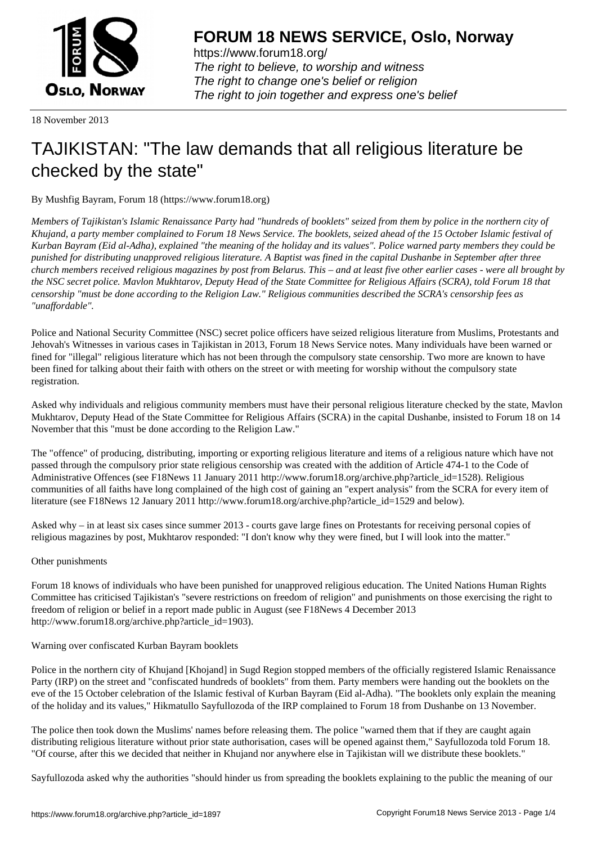

https://www.forum18.org/ The right to believe, to worship and witness The right to change one's belief or religion [The right to join together a](https://www.forum18.org/)nd express one's belief

18 November 2013

## [TAJIKISTAN: "T](https://www.forum18.org)he law demands that all religious literature be checked by the state"

By Mushfig Bayram, Forum 18 (https://www.forum18.org)

*Members of Tajikistan's Islamic Renaissance Party had "hundreds of booklets" seized from them by police in the northern city of Khujand, a party member complained to Forum 18 News Service. The booklets, seized ahead of the 15 October Islamic festival of Kurban Bayram (Eid al-Adha), explained "the meaning of the holiday and its values". Police warned party members they could be punished for distributing unapproved religious literature. A Baptist was fined in the capital Dushanbe in September after three church members received religious magazines by post from Belarus. This – and at least five other earlier cases - were all brought by the NSC secret police. Mavlon Mukhtarov, Deputy Head of the State Committee for Religious Affairs (SCRA), told Forum 18 that censorship "must be done according to the Religion Law." Religious communities described the SCRA's censorship fees as "unaffordable".*

Police and National Security Committee (NSC) secret police officers have seized religious literature from Muslims, Protestants and Jehovah's Witnesses in various cases in Tajikistan in 2013, Forum 18 News Service notes. Many individuals have been warned or fined for "illegal" religious literature which has not been through the compulsory state censorship. Two more are known to have been fined for talking about their faith with others on the street or with meeting for worship without the compulsory state registration.

Asked why individuals and religious community members must have their personal religious literature checked by the state, Mavlon Mukhtarov, Deputy Head of the State Committee for Religious Affairs (SCRA) in the capital Dushanbe, insisted to Forum 18 on 14 November that this "must be done according to the Religion Law."

The "offence" of producing, distributing, importing or exporting religious literature and items of a religious nature which have not passed through the compulsory prior state religious censorship was created with the addition of Article 474-1 to the Code of Administrative Offences (see F18News 11 January 2011 http://www.forum18.org/archive.php?article\_id=1528). Religious communities of all faiths have long complained of the high cost of gaining an "expert analysis" from the SCRA for every item of literature (see F18News 12 January 2011 http://www.forum18.org/archive.php?article\_id=1529 and below).

Asked why – in at least six cases since summer 2013 - courts gave large fines on Protestants for receiving personal copies of religious magazines by post, Mukhtarov responded: "I don't know why they were fined, but I will look into the matter."

## Other punishments

Forum 18 knows of individuals who have been punished for unapproved religious education. The United Nations Human Rights Committee has criticised Tajikistan's "severe restrictions on freedom of religion" and punishments on those exercising the right to freedom of religion or belief in a report made public in August (see F18News 4 December 2013 http://www.forum18.org/archive.php?article\_id=1903).

## Warning over confiscated Kurban Bayram booklets

Police in the northern city of Khujand [Khojand] in Sugd Region stopped members of the officially registered Islamic Renaissance Party (IRP) on the street and "confiscated hundreds of booklets" from them. Party members were handing out the booklets on the eve of the 15 October celebration of the Islamic festival of Kurban Bayram (Eid al-Adha). "The booklets only explain the meaning of the holiday and its values," Hikmatullo Sayfullozoda of the IRP complained to Forum 18 from Dushanbe on 13 November.

The police then took down the Muslims' names before releasing them. The police "warned them that if they are caught again distributing religious literature without prior state authorisation, cases will be opened against them," Sayfullozoda told Forum 18. "Of course, after this we decided that neither in Khujand nor anywhere else in Tajikistan will we distribute these booklets."

Sayfullozoda asked why the authorities "should hinder us from spreading the booklets explaining to the public the meaning of our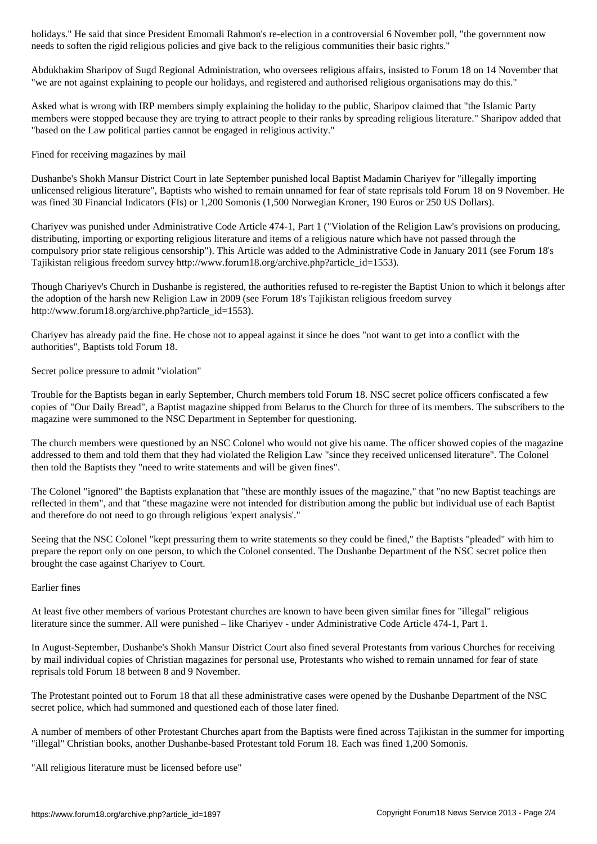needs to soften the rigid religious policies and give back to the religious communities their basic rights."

Abdukhakim Sharipov of Sugd Regional Administration, who oversees religious affairs, insisted to Forum 18 on 14 November that "we are not against explaining to people our holidays, and registered and authorised religious organisations may do this."

Asked what is wrong with IRP members simply explaining the holiday to the public, Sharipov claimed that "the Islamic Party members were stopped because they are trying to attract people to their ranks by spreading religious literature." Sharipov added that "based on the Law political parties cannot be engaged in religious activity."

Fined for receiving magazines by mail

Dushanbe's Shokh Mansur District Court in late September punished local Baptist Madamin Chariyev for "illegally importing unlicensed religious literature", Baptists who wished to remain unnamed for fear of state reprisals told Forum 18 on 9 November. He was fined 30 Financial Indicators (FIs) or 1,200 Somonis (1,500 Norwegian Kroner, 190 Euros or 250 US Dollars).

Chariyev was punished under Administrative Code Article 474-1, Part 1 ("Violation of the Religion Law's provisions on producing, distributing, importing or exporting religious literature and items of a religious nature which have not passed through the compulsory prior state religious censorship"). This Article was added to the Administrative Code in January 2011 (see Forum 18's Tajikistan religious freedom survey http://www.forum18.org/archive.php?article\_id=1553).

Though Chariyev's Church in Dushanbe is registered, the authorities refused to re-register the Baptist Union to which it belongs after the adoption of the harsh new Religion Law in 2009 (see Forum 18's Tajikistan religious freedom survey http://www.forum18.org/archive.php?article\_id=1553).

Chariyev has already paid the fine. He chose not to appeal against it since he does "not want to get into a conflict with the authorities", Baptists told Forum 18.

Secret police pressure to admit "violation"

Trouble for the Baptists began in early September, Church members told Forum 18. NSC secret police officers confiscated a few copies of "Our Daily Bread", a Baptist magazine shipped from Belarus to the Church for three of its members. The subscribers to the magazine were summoned to the NSC Department in September for questioning.

The church members were questioned by an NSC Colonel who would not give his name. The officer showed copies of the magazine addressed to them and told them that they had violated the Religion Law "since they received unlicensed literature". The Colonel then told the Baptists they "need to write statements and will be given fines".

The Colonel "ignored" the Baptists explanation that "these are monthly issues of the magazine," that "no new Baptist teachings are reflected in them", and that "these magazine were not intended for distribution among the public but individual use of each Baptist and therefore do not need to go through religious 'expert analysis'."

Seeing that the NSC Colonel "kept pressuring them to write statements so they could be fined," the Baptists "pleaded" with him to prepare the report only on one person, to which the Colonel consented. The Dushanbe Department of the NSC secret police then brought the case against Chariyev to Court.

## Earlier fines

At least five other members of various Protestant churches are known to have been given similar fines for "illegal" religious literature since the summer. All were punished – like Chariyev - under Administrative Code Article 474-1, Part 1.

In August-September, Dushanbe's Shokh Mansur District Court also fined several Protestants from various Churches for receiving by mail individual copies of Christian magazines for personal use, Protestants who wished to remain unnamed for fear of state reprisals told Forum 18 between 8 and 9 November.

The Protestant pointed out to Forum 18 that all these administrative cases were opened by the Dushanbe Department of the NSC secret police, which had summoned and questioned each of those later fined.

A number of members of other Protestant Churches apart from the Baptists were fined across Tajikistan in the summer for importing "illegal" Christian books, another Dushanbe-based Protestant told Forum 18. Each was fined 1,200 Somonis.

"All religious literature must be licensed before use"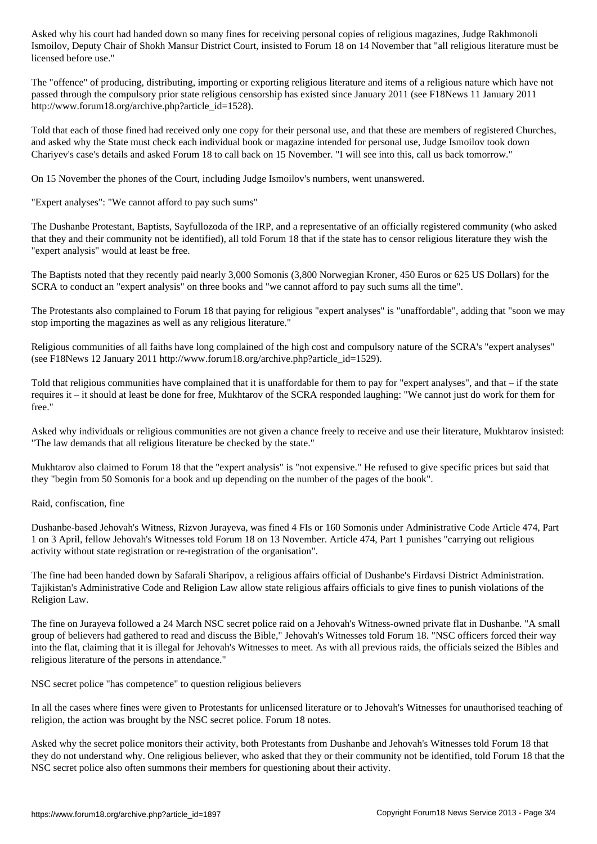Ismoilov, Deputy Chair of Shokh Mansur District Court, insisted to Forum 18 on 14 November that "all religious literature must be licensed before use."

The "offence" of producing, distributing, importing or exporting religious literature and items of a religious nature which have not passed through the compulsory prior state religious censorship has existed since January 2011 (see F18News 11 January 2011 http://www.forum18.org/archive.php?article\_id=1528).

Told that each of those fined had received only one copy for their personal use, and that these are members of registered Churches, and asked why the State must check each individual book or magazine intended for personal use, Judge Ismoilov took down Chariyev's case's details and asked Forum 18 to call back on 15 November. "I will see into this, call us back tomorrow."

On 15 November the phones of the Court, including Judge Ismoilov's numbers, went unanswered.

"Expert analyses": "We cannot afford to pay such sums"

The Dushanbe Protestant, Baptists, Sayfullozoda of the IRP, and a representative of an officially registered community (who asked that they and their community not be identified), all told Forum 18 that if the state has to censor religious literature they wish the "expert analysis" would at least be free.

The Baptists noted that they recently paid nearly 3,000 Somonis (3,800 Norwegian Kroner, 450 Euros or 625 US Dollars) for the SCRA to conduct an "expert analysis" on three books and "we cannot afford to pay such sums all the time".

The Protestants also complained to Forum 18 that paying for religious "expert analyses" is "unaffordable", adding that "soon we may stop importing the magazines as well as any religious literature."

Religious communities of all faiths have long complained of the high cost and compulsory nature of the SCRA's "expert analyses" (see F18News 12 January 2011 http://www.forum18.org/archive.php?article\_id=1529).

Told that religious communities have complained that it is unaffordable for them to pay for "expert analyses", and that – if the state requires it – it should at least be done for free, Mukhtarov of the SCRA responded laughing: "We cannot just do work for them for free."

Asked why individuals or religious communities are not given a chance freely to receive and use their literature, Mukhtarov insisted: "The law demands that all religious literature be checked by the state."

Mukhtarov also claimed to Forum 18 that the "expert analysis" is "not expensive." He refused to give specific prices but said that they "begin from 50 Somonis for a book and up depending on the number of the pages of the book".

Raid, confiscation, fine

Dushanbe-based Jehovah's Witness, Rizvon Jurayeva, was fined 4 FIs or 160 Somonis under Administrative Code Article 474, Part 1 on 3 April, fellow Jehovah's Witnesses told Forum 18 on 13 November. Article 474, Part 1 punishes "carrying out religious activity without state registration or re-registration of the organisation".

The fine had been handed down by Safarali Sharipov, a religious affairs official of Dushanbe's Firdavsi District Administration. Tajikistan's Administrative Code and Religion Law allow state religious affairs officials to give fines to punish violations of the Religion Law.

The fine on Jurayeva followed a 24 March NSC secret police raid on a Jehovah's Witness-owned private flat in Dushanbe. "A small group of believers had gathered to read and discuss the Bible," Jehovah's Witnesses told Forum 18. "NSC officers forced their way into the flat, claiming that it is illegal for Jehovah's Witnesses to meet. As with all previous raids, the officials seized the Bibles and religious literature of the persons in attendance."

NSC secret police "has competence" to question religious believers

In all the cases where fines were given to Protestants for unlicensed literature or to Jehovah's Witnesses for unauthorised teaching of religion, the action was brought by the NSC secret police. Forum 18 notes.

Asked why the secret police monitors their activity, both Protestants from Dushanbe and Jehovah's Witnesses told Forum 18 that they do not understand why. One religious believer, who asked that they or their community not be identified, told Forum 18 that the NSC secret police also often summons their members for questioning about their activity.